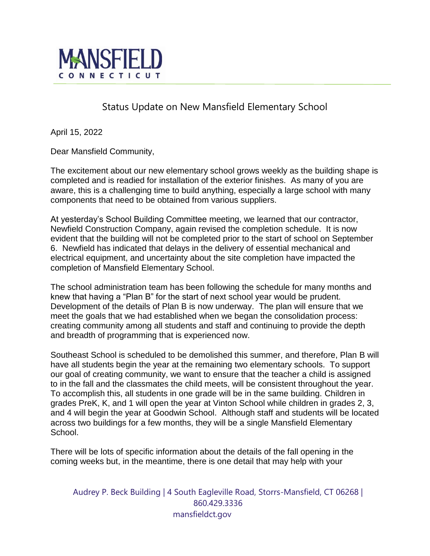

## Status Update on New Mansfield Elementary School

April 15, 2022

Dear Mansfield Community,

The excitement about our new elementary school grows weekly as the building shape is completed and is readied for installation of the exterior finishes. As many of you are aware, this is a challenging time to build anything, especially a large school with many components that need to be obtained from various suppliers.

At yesterday's School Building Committee meeting, we learned that our contractor, Newfield Construction Company, again revised the completion schedule. It is now evident that the building will not be completed prior to the start of school on September 6. Newfield has indicated that delays in the delivery of essential mechanical and electrical equipment, and uncertainty about the site completion have impacted the completion of Mansfield Elementary School.

The school administration team has been following the schedule for many months and knew that having a "Plan B" for the start of next school year would be prudent. Development of the details of Plan B is now underway. The plan will ensure that we meet the goals that we had established when we began the consolidation process: creating community among all students and staff and continuing to provide the depth and breadth of programming that is experienced now.

Southeast School is scheduled to be demolished this summer, and therefore, Plan B will have all students begin the year at the remaining two elementary schools. To support our goal of creating community, we want to ensure that the teacher a child is assigned to in the fall and the classmates the child meets, will be consistent throughout the year. To accomplish this, all students in one grade will be in the same building. Children in grades PreK, K, and 1 will open the year at Vinton School while children in grades 2, 3, and 4 will begin the year at Goodwin School. Although staff and students will be located across two buildings for a few months, they will be a single Mansfield Elementary School.

There will be lots of specific information about the details of the fall opening in the coming weeks but, in the meantime, there is one detail that may help with your

Audrey P. Beck Building | 4 South Eagleville Road, Storrs-Mansfield, CT 06268 | 860.429.3336 mansfieldct.gov